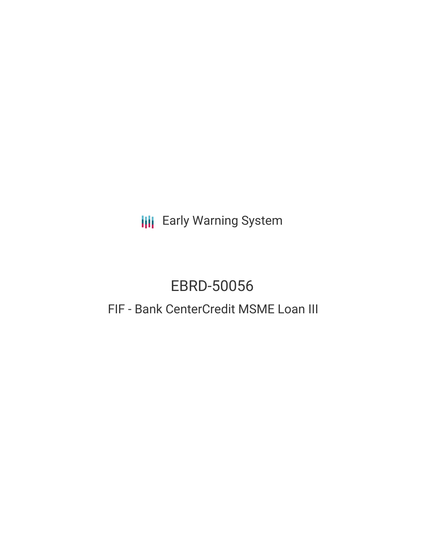**III** Early Warning System

# EBRD-50056

## FIF - Bank CenterCredit MSME Loan III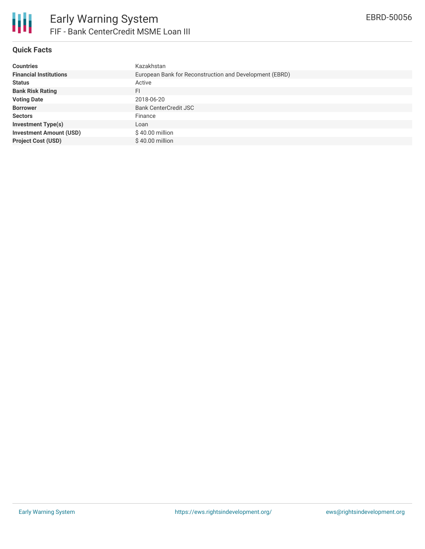

#### **Quick Facts**

| <b>Countries</b>               | Kazakhstan                                              |
|--------------------------------|---------------------------------------------------------|
| <b>Financial Institutions</b>  | European Bank for Reconstruction and Development (EBRD) |
| <b>Status</b>                  | Active                                                  |
| <b>Bank Risk Rating</b>        | FI                                                      |
| <b>Voting Date</b>             | 2018-06-20                                              |
| <b>Borrower</b>                | <b>Bank CenterCredit JSC</b>                            |
| <b>Sectors</b>                 | Finance                                                 |
| <b>Investment Type(s)</b>      | Loan                                                    |
| <b>Investment Amount (USD)</b> | $$40.00$ million                                        |
| <b>Project Cost (USD)</b>      | $$40.00$ million                                        |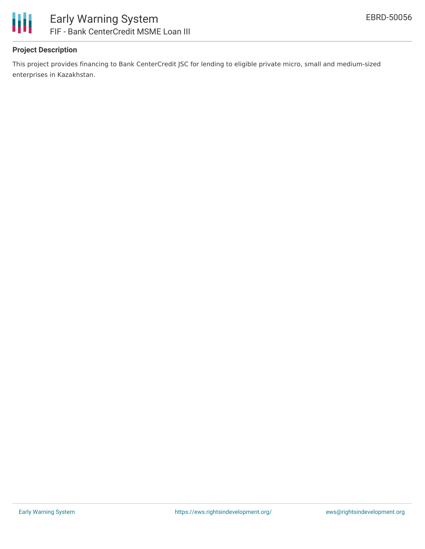

#### **Project Description**

This project provides financing to Bank CenterCredit JSC for lending to eligible private micro, small and medium-sized enterprises in Kazakhstan.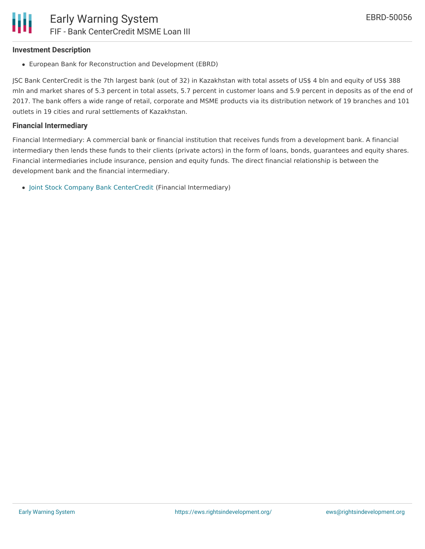#### **Investment Description**

European Bank for Reconstruction and Development (EBRD)

JSC Bank CenterCredit is the 7th largest bank (out of 32) in Kazakhstan with total assets of US\$ 4 bln and equity of US\$ 388 mln and market shares of 5.3 percent in total assets, 5.7 percent in customer loans and 5.9 percent in deposits as of the end of 2017. The bank offers a wide range of retail, corporate and MSME products via its distribution network of 19 branches and 101 outlets in 19 cities and rural settlements of Kazakhstan.

#### **Financial Intermediary**

Financial Intermediary: A commercial bank or financial institution that receives funds from a development bank. A financial intermediary then lends these funds to their clients (private actors) in the form of loans, bonds, guarantees and equity shares. Financial intermediaries include insurance, pension and equity funds. The direct financial relationship is between the development bank and the financial intermediary.

Joint Stock Company Bank [CenterCredit](file:///actor/679/) (Financial Intermediary)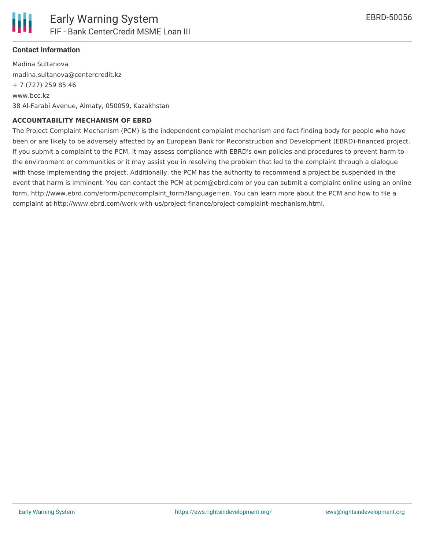

#### **Contact Information**

Madina Sultanova madina.sultanova@centercredit.kz + 7 (727) 259 85 46 www.bcc.kz 38 Al-Farabi Avenue, Almaty, 050059, Kazakhstan

#### **ACCOUNTABILITY MECHANISM OF EBRD**

The Project Complaint Mechanism (PCM) is the independent complaint mechanism and fact-finding body for people who have been or are likely to be adversely affected by an European Bank for Reconstruction and Development (EBRD)-financed project. If you submit a complaint to the PCM, it may assess compliance with EBRD's own policies and procedures to prevent harm to the environment or communities or it may assist you in resolving the problem that led to the complaint through a dialogue with those implementing the project. Additionally, the PCM has the authority to recommend a project be suspended in the event that harm is imminent. You can contact the PCM at pcm@ebrd.com or you can submit a complaint online using an online form, http://www.ebrd.com/eform/pcm/complaint\_form?language=en. You can learn more about the PCM and how to file a complaint at http://www.ebrd.com/work-with-us/project-finance/project-complaint-mechanism.html.